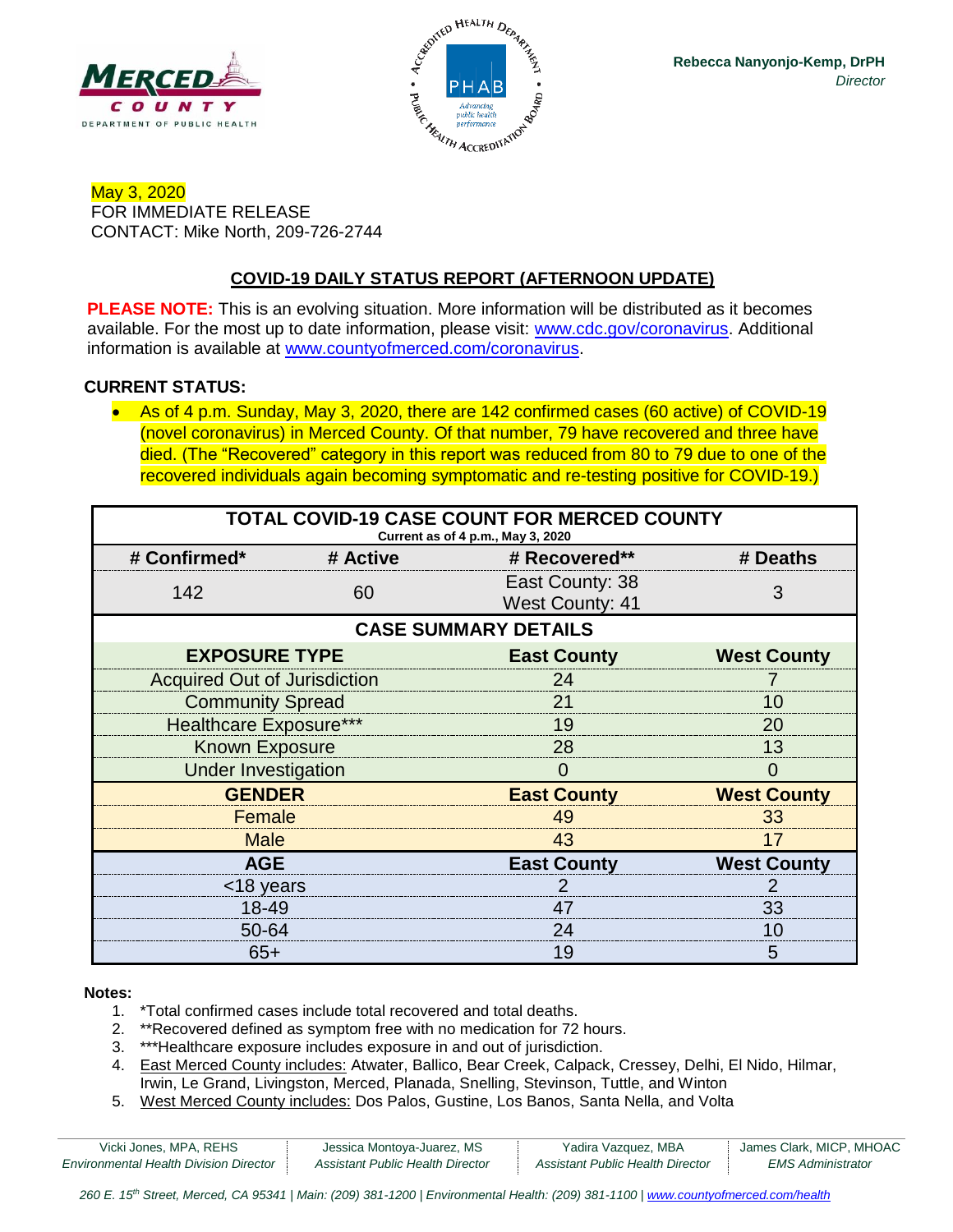



May 3, 2020 FOR IMMEDIATE RELEASE CONTACT: Mike North, 209-726-2744

## **COVID-19 DAILY STATUS REPORT (AFTERNOON UPDATE)**

**PLEASE NOTE:** This is an evolving situation. More information will be distributed as it becomes available. For the most up to date information, please visit: [www.cdc.gov/coronavirus.](http://www.cdc.gov/coronavirus) Additional information is available at [www.countyofmerced.com/coronavirus.](http://www.countyofmerced.com/coronavirus)

### **CURRENT STATUS:**

• As of 4 p.m. Sunday, May 3, 2020, there are 142 confirmed cases (60 active) of COVID-19 (novel coronavirus) in Merced County. Of that number, 79 have recovered and three have died. (The "Recovered" category in this report was reduced from 80 to 79 due to one of the recovered individuals again becoming symptomatic and re-testing positive for COVID-19.)

| TOTAL COVID-19 CASE COUNT FOR MERCED COUNTY<br>Current as of 4 p.m., May 3, 2020 |          |                                           |                    |  |  |
|----------------------------------------------------------------------------------|----------|-------------------------------------------|--------------------|--|--|
| # Confirmed*                                                                     | # Active | # Recovered**                             | # Deaths           |  |  |
| 142                                                                              | 60       | East County: 38<br><b>West County: 41</b> | 3                  |  |  |
| <b>CASE SUMMARY DETAILS</b>                                                      |          |                                           |                    |  |  |
| <b>EXPOSURE TYPE</b>                                                             |          | <b>East County</b>                        | <b>West County</b> |  |  |
| <b>Acquired Out of Jurisdiction</b>                                              |          | 24                                        |                    |  |  |
| <b>Community Spread</b>                                                          |          | 21                                        | 10                 |  |  |
| <b>Healthcare Exposure***</b>                                                    |          | 19                                        | 20                 |  |  |
| <b>Known Exposure</b>                                                            |          | 28                                        | 13                 |  |  |
| <b>Under Investigation</b>                                                       |          |                                           |                    |  |  |
| <b>GENDER</b>                                                                    |          | <b>East County</b>                        | <b>West County</b> |  |  |
| Female                                                                           |          | 49                                        | 33                 |  |  |
| <b>Male</b>                                                                      |          | 43                                        | 17                 |  |  |
| <b>AGE</b>                                                                       |          | <b>East County</b>                        | <b>West County</b> |  |  |
| <18 years                                                                        |          |                                           |                    |  |  |
| 18-49                                                                            |          | 47                                        | 33                 |  |  |
| 50-64                                                                            |          | 24                                        | 10                 |  |  |
| $65+$                                                                            |          | 19                                        | 5                  |  |  |

#### **Notes:**

- 1. \*Total confirmed cases include total recovered and total deaths.
- 2. \*\*Recovered defined as symptom free with no medication for 72 hours.
- 3. \*\*\*Healthcare exposure includes exposure in and out of jurisdiction.
- 4. East Merced County includes: Atwater, Ballico, Bear Creek, Calpack, Cressey, Delhi, El Nido, Hilmar, Irwin, Le Grand, Livingston, Merced, Planada, Snelling, Stevinson, Tuttle, and Winton
- 5. West Merced County includes: Dos Palos, Gustine, Los Banos, Santa Nella, and Volta

| Vicki Jones, MPA, REHS                        | Jessica Montoya-Juarez, MS       | Yadira Vazquez, MBA              | James Clark, MICP, MHOAC |
|-----------------------------------------------|----------------------------------|----------------------------------|--------------------------|
| <b>Environmental Health Division Director</b> | Assistant Public Health Director | Assistant Public Health Director | <b>EMS Administrator</b> |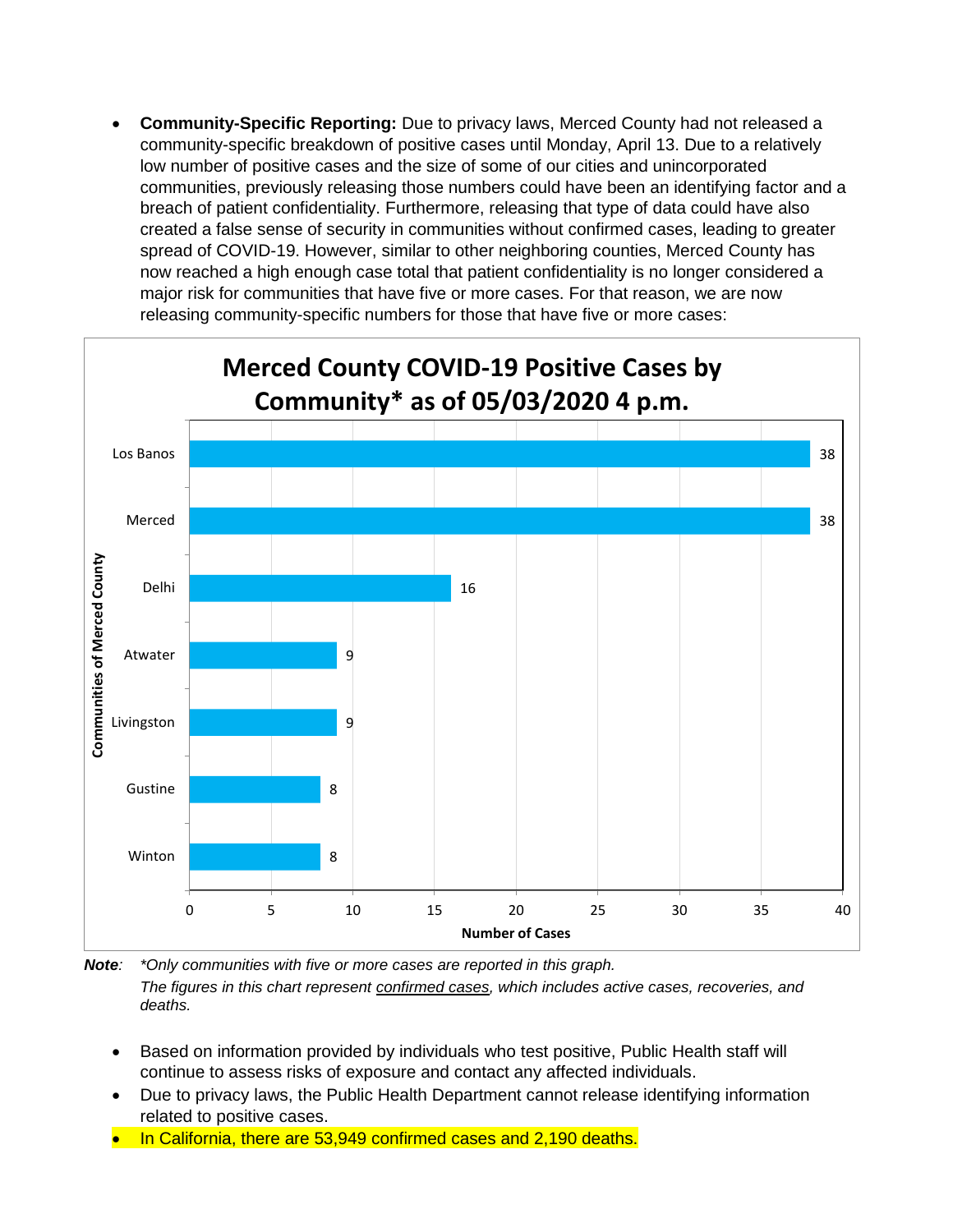• **Community-Specific Reporting:** Due to privacy laws, Merced County had not released a community-specific breakdown of positive cases until Monday, April 13. Due to a relatively low number of positive cases and the size of some of our cities and unincorporated communities, previously releasing those numbers could have been an identifying factor and a breach of patient confidentiality. Furthermore, releasing that type of data could have also created a false sense of security in communities without confirmed cases, leading to greater spread of COVID-19. However, similar to other neighboring counties, Merced County has now reached a high enough case total that patient confidentiality is no longer considered a major risk for communities that have five or more cases. For that reason, we are now releasing community-specific numbers for those that have five or more cases:



*Note: \*Only communities with five or more cases are reported in this graph. The figures in this chart represent confirmed cases, which includes active cases, recoveries, and deaths.*

- Based on information provided by individuals who test positive, Public Health staff will continue to assess risks of exposure and contact any affected individuals.
- Due to privacy laws, the Public Health Department cannot release identifying information related to positive cases.
- In California, there are 53,949 confirmed cases and 2,190 deaths.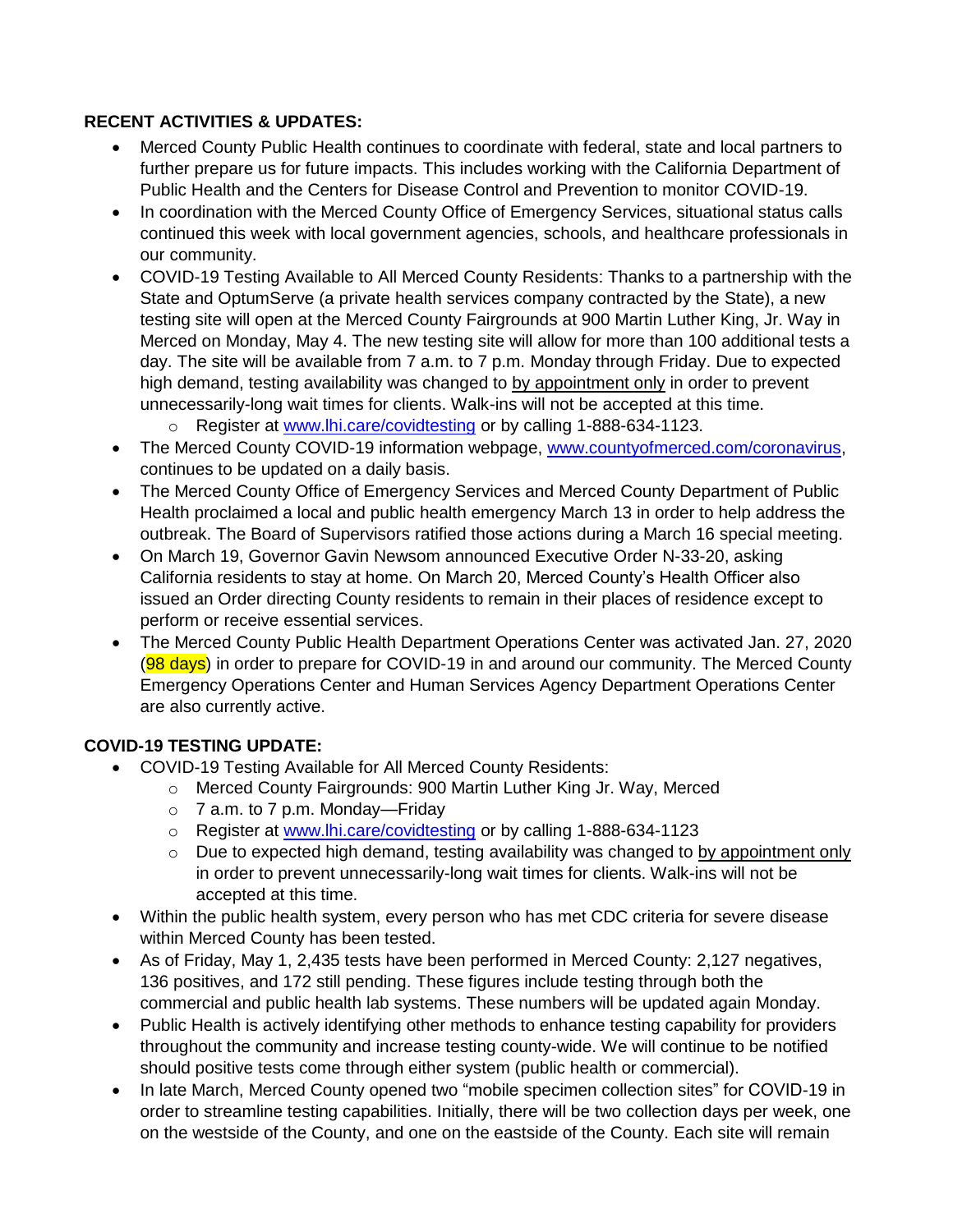## **RECENT ACTIVITIES & UPDATES:**

- Merced County Public Health continues to coordinate with federal, state and local partners to further prepare us for future impacts. This includes working with the California Department of Public Health and the Centers for Disease Control and Prevention to monitor COVID-19.
- In coordination with the Merced County Office of Emergency Services, situational status calls continued this week with local government agencies, schools, and healthcare professionals in our community.
- COVID-19 Testing Available to All Merced County Residents: Thanks to a partnership with the State and OptumServe (a private health services company contracted by the State), a new testing site will open at the Merced County Fairgrounds at 900 Martin Luther King, Jr. Way in Merced on Monday, May 4. The new testing site will allow for more than 100 additional tests a day. The site will be available from 7 a.m. to 7 p.m. Monday through Friday. Due to expected high demand, testing availability was changed to by appointment only in order to prevent unnecessarily-long wait times for clients. Walk-ins will not be accepted at this time.
	- o Register at [www.lhi.care/covidtesting](http://www.lhi.care/covidtesting) or by calling 1-888-634-1123.
- The Merced County COVID-19 information webpage, [www.countyofmerced.com/coronavirus,](http://www.countyofmerced.com/coronavirus) continues to be updated on a daily basis.
- The Merced County Office of Emergency Services and Merced County Department of Public Health proclaimed a local and public health emergency March 13 in order to help address the outbreak. The Board of Supervisors ratified those actions during a March 16 special meeting.
- On March 19, Governor Gavin Newsom announced Executive Order N-33-20, asking California residents to stay at home. On March 20, Merced County's Health Officer also issued an Order directing County residents to remain in their places of residence except to perform or receive essential services.
- The Merced County Public Health Department Operations Center was activated Jan. 27, 2020 (98 days) in order to prepare for COVID-19 in and around our community. The Merced County Emergency Operations Center and Human Services Agency Department Operations Center are also currently active.

## **COVID-19 TESTING UPDATE:**

- COVID-19 Testing Available for All Merced County Residents:
	- o Merced County Fairgrounds: 900 Martin Luther King Jr. Way, Merced
	- $\circ$  7 a.m. to 7 p.m. Monday—Friday
	- o Register at [www.lhi.care/covidtesting](http://www.lhi.care/covidtesting) or by calling 1-888-634-1123
	- o Due to expected high demand, testing availability was changed to by appointment only in order to prevent unnecessarily-long wait times for clients. Walk-ins will not be accepted at this time.
- Within the public health system, every person who has met CDC criteria for severe disease within Merced County has been tested.
- As of Friday, May 1, 2,435 tests have been performed in Merced County: 2,127 negatives, 136 positives, and 172 still pending. These figures include testing through both the commercial and public health lab systems. These numbers will be updated again Monday.
- Public Health is actively identifying other methods to enhance testing capability for providers throughout the community and increase testing county-wide. We will continue to be notified should positive tests come through either system (public health or commercial).
- In late March, Merced County opened two "mobile specimen collection sites" for COVID-19 in order to streamline testing capabilities. Initially, there will be two collection days per week, one on the westside of the County, and one on the eastside of the County. Each site will remain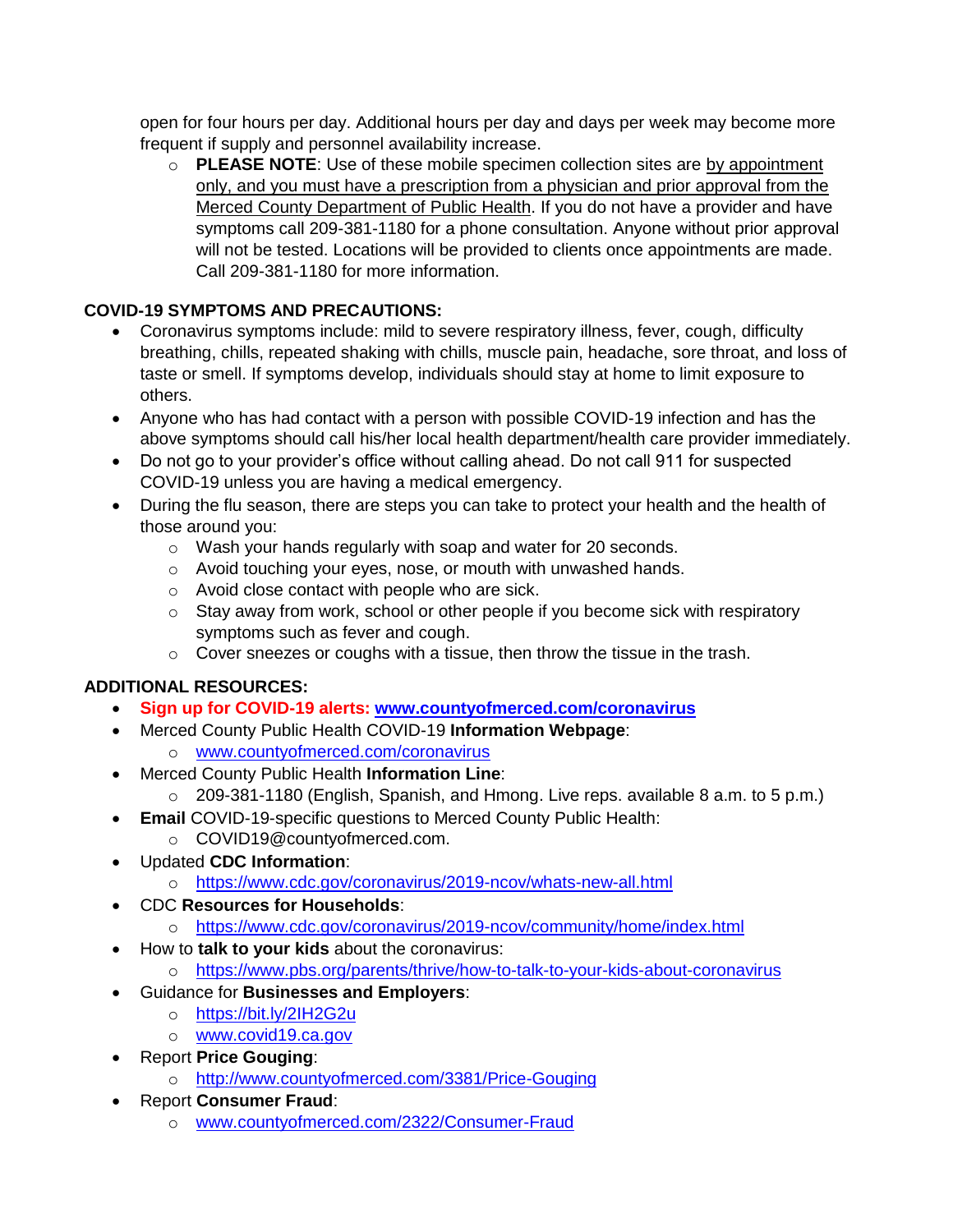open for four hours per day. Additional hours per day and days per week may become more frequent if supply and personnel availability increase.

o **PLEASE NOTE**: Use of these mobile specimen collection sites are by appointment only, and you must have a prescription from a physician and prior approval from the Merced County Department of Public Health. If you do not have a provider and have symptoms call 209-381-1180 for a phone consultation. Anyone without prior approval will not be tested. Locations will be provided to clients once appointments are made. Call 209-381-1180 for more information.

## **COVID-19 SYMPTOMS AND PRECAUTIONS:**

- Coronavirus symptoms include: mild to severe respiratory illness, fever, cough, difficulty breathing, chills, repeated shaking with chills, muscle pain, headache, sore throat, and loss of taste or smell. If symptoms develop, individuals should stay at home to limit exposure to others.
- Anyone who has had contact with a person with possible COVID-19 infection and has the above symptoms should call his/her local health department/health care provider immediately.
- Do not go to your provider's office without calling ahead. Do not call 911 for suspected COVID-19 unless you are having a medical emergency.
- During the flu season, there are steps you can take to protect your health and the health of those around you:
	- o Wash your hands regularly with soap and water for 20 seconds.
	- o Avoid touching your eyes, nose, or mouth with unwashed hands.
	- o Avoid close contact with people who are sick.
	- $\circ$  Stay away from work, school or other people if you become sick with respiratory symptoms such as fever and cough.
	- $\circ$  Cover sneezes or coughs with a tissue, then throw the tissue in the trash.

# **ADDITIONAL RESOURCES:**

- **Sign up for COVID-19 alerts: [www.countyofmerced.com/coronavirus](http://www.countyofmerced.com/coronavirus)**
- Merced County Public Health COVID-19 **Information Webpage**:
	- o [www.countyofmerced.com/coronavirus](http://www.countyofmerced.com/coronavirus)
- Merced County Public Health **Information Line**:
	- o 209-381-1180 (English, Spanish, and Hmong. Live reps. available 8 a.m. to 5 p.m.)
- **Email** COVID-19-specific questions to Merced County Public Health:
	- o COVID19@countyofmerced.com.
- Updated **CDC Information**:
	- o <https://www.cdc.gov/coronavirus/2019-ncov/whats-new-all.html>
- CDC **Resources for Households**:
	- o <https://www.cdc.gov/coronavirus/2019-ncov/community/home/index.html>
- How to **talk to your kids** about the coronavirus:
- o <https://www.pbs.org/parents/thrive/how-to-talk-to-your-kids-about-coronavirus>
- Guidance for **Businesses and Employers**:
	- o <https://bit.ly/2IH2G2u>
	- o [www.covid19.ca.gov](http://www.covid19.ca.gov/)
- Report **Price Gouging**:
	- o <http://www.countyofmerced.com/3381/Price-Gouging>
- Report **Consumer Fraud**:
	- o [www.countyofmerced.com/2322/Consumer-Fraud](http://www.countyofmerced.com/2322/Consumer-Fraud)